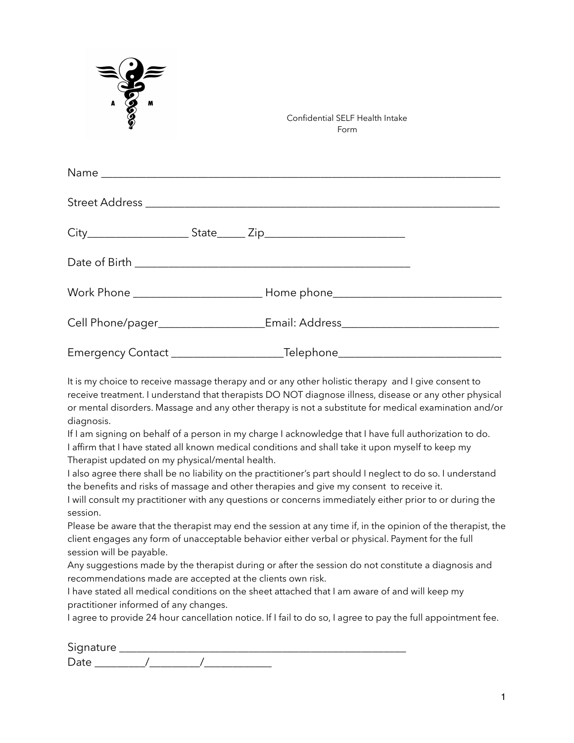| <b>Posses</b> |                                                                                  | Confidential SELF Health Intake<br>Form                                          |  |
|---------------|----------------------------------------------------------------------------------|----------------------------------------------------------------------------------|--|
|               |                                                                                  |                                                                                  |  |
|               |                                                                                  |                                                                                  |  |
|               |                                                                                  |                                                                                  |  |
|               |                                                                                  |                                                                                  |  |
|               |                                                                                  |                                                                                  |  |
|               | Cell Phone/pager______________________Email: Address____________________________ |                                                                                  |  |
|               |                                                                                  | Emergency Contact ___________________________Telephone__________________________ |  |

It is my choice to receive massage therapy and or any other holistic therapy and I give consent to receive treatment. I understand that therapists DO NOT diagnose illness, disease or any other physical or mental disorders. Massage and any other therapy is not a substitute for medical examination and/or diagnosis.

If I am signing on behalf of a person in my charge I acknowledge that I have full authorization to do. I affirm that I have stated all known medical conditions and shall take it upon myself to keep my Therapist updated on my physical/mental health.

I also agree there shall be no liability on the practitioner's part should I neglect to do so. I understand the benefits and risks of massage and other therapies and give my consent to receive it.

I will consult my practitioner with any questions or concerns immediately either prior to or during the session.

Please be aware that the therapist may end the session at any time if, in the opinion of the therapist, the client engages any form of unacceptable behavior either verbal or physical. Payment for the full session will be payable.

Any suggestions made by the therapist during or after the session do not constitute a diagnosis and recommendations made are accepted at the clients own risk.

I have stated all medical conditions on the sheet attached that I am aware of and will keep my practitioner informed of any changes.

I agree to provide 24 hour cancellation notice. If I fail to do so, I agree to pay the full appointment fee.

| Signature |  |  |  |
|-----------|--|--|--|
|           |  |  |  |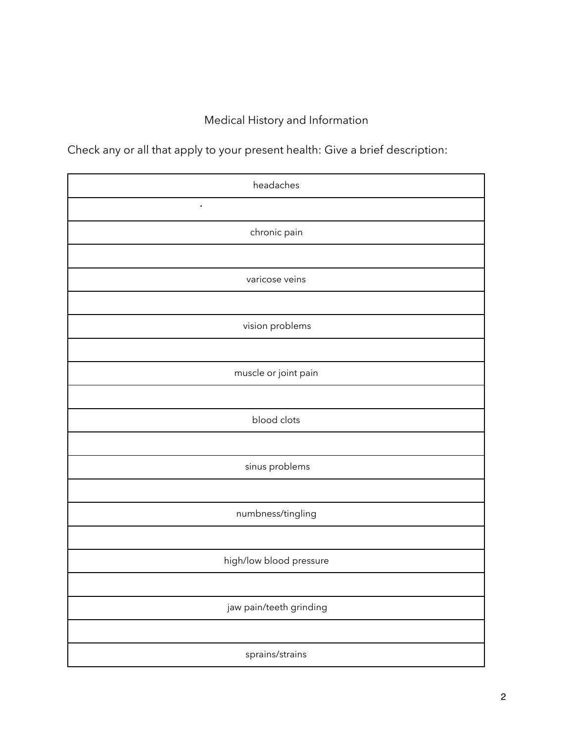## Medical History and Information

Check any or all that apply to your present health: Give a brief description:

| headaches               |
|-------------------------|
| $\blacksquare$          |
| chronic pain            |
|                         |
| varicose veins          |
|                         |
| vision problems         |
|                         |
| muscle or joint pain    |
|                         |
| blood clots             |
|                         |
| sinus problems          |
|                         |
| numbness/tingling       |
|                         |
| high/low blood pressure |
|                         |
| jaw pain/teeth grinding |
|                         |
| sprains/strains         |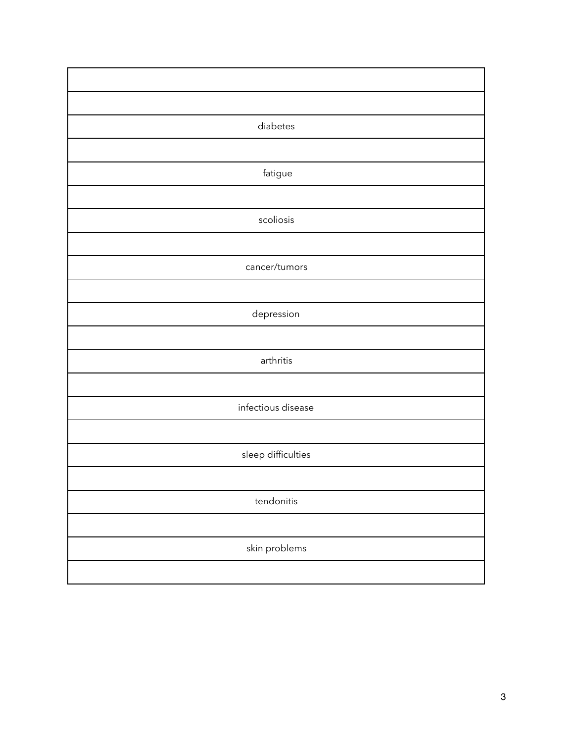| diabetes           |
|--------------------|
|                    |
| fatigue            |
|                    |
| scoliosis          |
|                    |
| cancer/tumors      |
|                    |
| depression         |
|                    |
| arthritis          |
|                    |
| infectious disease |
|                    |
| sleep difficulties |
|                    |
| tendonitis         |
|                    |
| skin problems      |
|                    |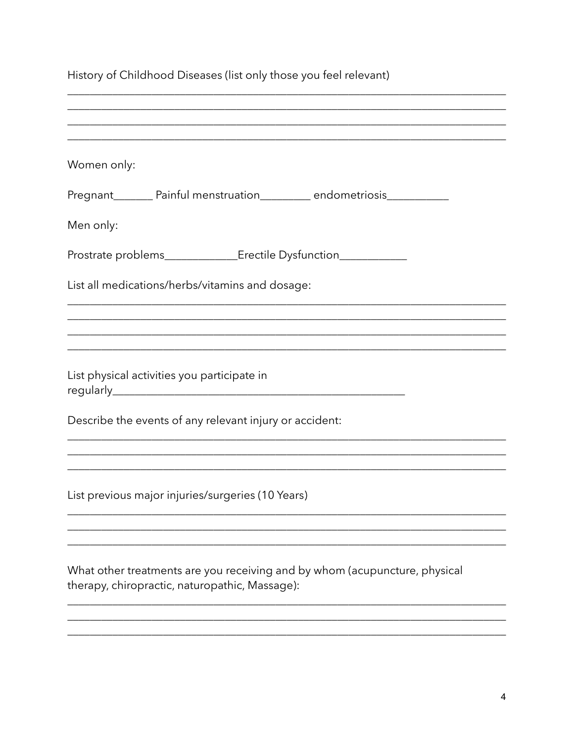| History of Childhood Diseases (list only those you feel relevant)                                                            |
|------------------------------------------------------------------------------------------------------------------------------|
|                                                                                                                              |
| Women only:                                                                                                                  |
| Pregnant_________ Painful menstruation___________ endometriosis_________________                                             |
| Men only:                                                                                                                    |
| Prostrate problems________________________Erectile Dysfunction__________________                                             |
| List all medications/herbs/vitamins and dosage:                                                                              |
|                                                                                                                              |
| ,我们也不会有什么。""我们的人,我们也不会有什么?""我们的人,我们也不会有什么?""我们的人,我们也不会有什么?""我们的人,我们也不会有什么?""我们的人                                             |
| List physical activities you participate in                                                                                  |
| Describe the events of any relevant injury or accident:                                                                      |
|                                                                                                                              |
| List previous major injuries/surgeries (10 Years)                                                                            |
|                                                                                                                              |
| What other treatments are you receiving and by whom (acupuncture, physical<br>therapy, chiropractic, naturopathic, Massage): |